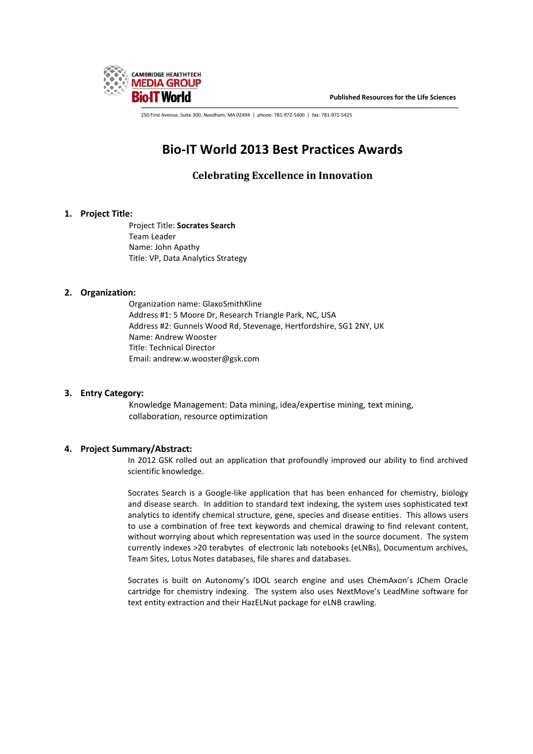

**Published Resources for the Life Sciences**

250 First Avenue, Suite 300, Needham, MA 02494 | phone: 781-972-5400 | fax: 781-972-5425

# **Bio-IT World 2013 Best Practices Awards**

# **Celebrating Excellence in Innovation**

# **1. Project Title:**

Project Title: **Socrates Search** Team Leader Name: John Apathy Title: VP, Data Analytics Strategy

### **2. Organization:**

Organization name: GlaxoSmithKline Address #1: 5 Moore Dr, Research Triangle Park, NC, USA Address #2: Gunnels Wood Rd, Stevenage, Hertfordshire, SG1 2NY, UK Name: Andrew Wooster Title: Technical Director Email: andrew.w.wooster@gsk.com

# **3. Entry Category:**

Knowledge Management: Data mining, idea/expertise mining, text mining, collaboration, resource optimization

# **4. Project Summary/Abstract:**

In 2012 GSK rolled out an application that profoundly improved our ability to find archived scientific knowledge.

Socrates Search is a Google-like application that has been enhanced for chemistry, biology and disease search. In addition to standard text indexing, the system uses sophisticated text analytics to identify chemical structure, gene, species and disease entities. This allows users to use a combination of free text keywords and chemical drawing to find relevant content, without worrying about which representation was used in the source document. The system currently indexes >20 terabytes of electronic lab notebooks (eLNBs), Documentum archives, Team Sites, Lotus Notes databases, file shares and databases.

Socrates is built on Autonomy's IDOL search engine and uses ChemAxon's JChem Oracle cartridge for chemistry indexing. The system also uses NextMove's LeadMine software for text entity extraction and their HazELNut package for eLNB crawling.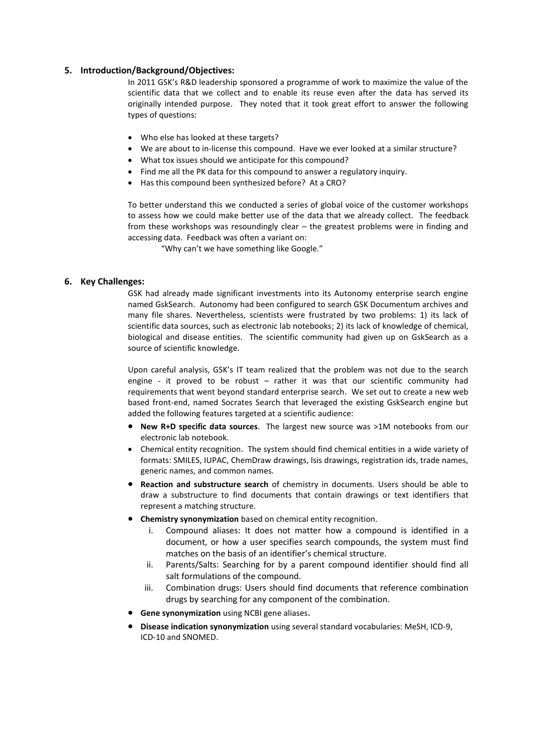#### **5. Introduction/Background/Objectives:**

In 2011 GSK's R&D leadership sponsored a programme of work to maximize the value of the scientific data that we collect and to enable its reuse even after the data has served its originally intended purpose. They noted that it took great effort to answer the following types of questions:

- Who else has looked at these targets?
- We are about to in-license this compound. Have we ever looked at a similar structure?
- What tox issues should we anticipate for this compound?
- Find me all the PK data for this compound to answer a regulatory inquiry.
- Has this compound been synthesized before? At a CRO?

To better understand this we conducted a series of global voice of the customer workshops to assess how we could make better use of the data that we already collect. The feedback from these workshops was resoundingly clear – the greatest problems were in finding and accessing data. Feedback was often a variant on:

"Why can't we have something like Google."

### **6. Key Challenges:**

GSK had already made significant investments into its Autonomy enterprise search engine named GskSearch. Autonomy had been configured to search GSK Documentum archives and many file shares. Nevertheless, scientists were frustrated by two problems: 1) its lack of scientific data sources, such as electronic lab notebooks; 2) its lack of knowledge of chemical, biological and disease entities. The scientific community had given up on GskSearch as a source of scientific knowledge.

Upon careful analysis, GSK's IT team realized that the problem was not due to the search engine - it proved to be robust – rather it was that our scientific community had requirements that went beyond standard enterprise search. We set out to create a new web based front-end, named Socrates Search that leveraged the existing GskSearch engine but added the following features targeted at a scientific audience:

- **New R+D specific data sources**. The largest new source was >1M notebooks from our electronic lab notebook.
- Chemical entity recognition. The system should find chemical entities in a wide variety of formats: SMILES, IUPAC, ChemDraw drawings, Isis drawings, registration ids, trade names, generic names, and common names.
- **Reaction and substructure search** of chemistry in documents. Users should be able to draw a substructure to find documents that contain drawings or text identifiers that represent a matching structure.
- **Chemistry synonymization** based on chemical entity recognition.
	- i. Compound aliases: It does not matter how a compound is identified in a document, or how a user specifies search compounds, the system must find matches on the basis of an identifier's chemical structure.
	- ii. Parents/Salts: Searching for by a parent compound identifier should find all salt formulations of the compound.
	- iii. Combination drugs: Users should find documents that reference combination drugs by searching for any component of the combination.
- **Gene synonymization** using NCBI gene aliases.
- **Disease indication synonymization** using several standard vocabularies: MeSH, ICD-9, ICD-10 and SNOMED.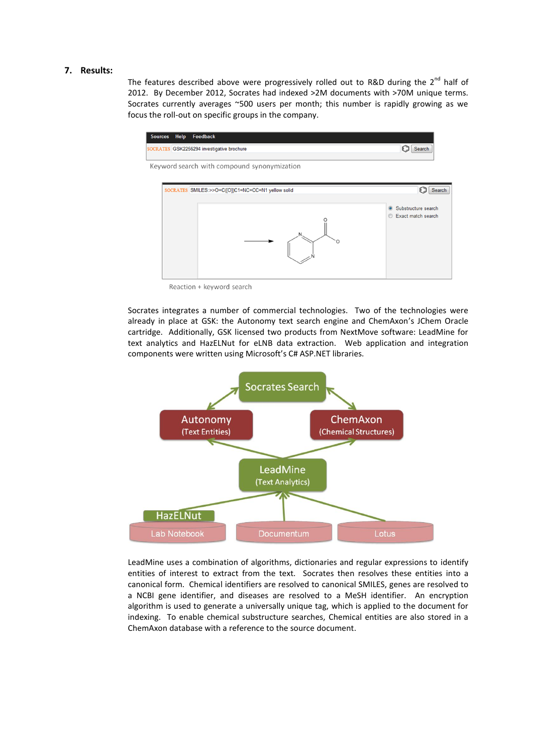#### **7. Results:**

The features described above were progressively rolled out to R&D during the  $2^{nd}$  half of 2012. By December 2012, Socrates had indexed >2M documents with >70M unique terms. Socrates currently averages ~500 users per month; this number is rapidly growing as we focus the roll-out on specific groups in the company.



Reaction + keyword search

Socrates integrates a number of commercial technologies. Two of the technologies were already in place at GSK: the Autonomy text search engine and ChemAxon's JChem Oracle cartridge. Additionally, GSK licensed two products from NextMove software: LeadMine for text analytics and HazELNut for eLNB data extraction. Web application and integration components were written using Microsoft's C# ASP.NET libraries.



LeadMine uses a combination of algorithms, dictionaries and regular expressions to identify entities of interest to extract from the text. Socrates then resolves these entities into a canonical form. Chemical identifiers are resolved to canonical SMILES, genes are resolved to a NCBI gene identifier, and diseases are resolved to a MeSH identifier. An encryption algorithm is used to generate a universally unique tag, which is applied to the document for indexing. To enable chemical substructure searches, Chemical entities are also stored in a ChemAxon database with a reference to the source document.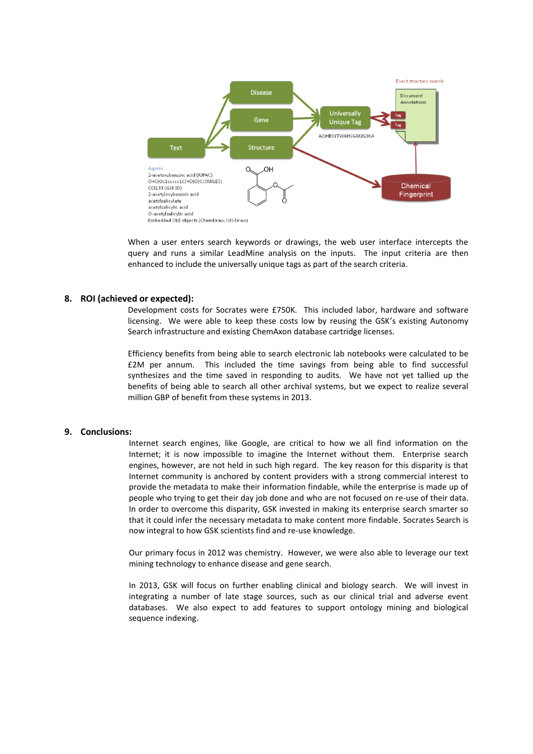

When a user enters search keywords or drawings, the web user interface intercepts the query and runs a similar LeadMine analysis on the inputs. The input criteria are then enhanced to include the universally unique tags as part of the search criteria.

#### **8. ROI (achieved or expected):**

Development costs for Socrates were £750K. This included labor, hardware and software licensing. We were able to keep these costs low by reusing the GSK's existing Autonomy Search infrastructure and existing ChemAxon database cartridge licenses.

Efficiency benefits from being able to search electronic lab notebooks were calculated to be £2M per annum. This included the time savings from being able to find successful synthesizes and the time saved in responding to audits. We have not yet tallied up the benefits of being able to search all other archival systems, but we expect to realize several million GBP of benefit from these systems in 2013.

#### **9. Conclusions:**

Internet search engines, like Google, are critical to how we all find information on the Internet; it is now impossible to imagine the Internet without them. Enterprise search engines, however, are not held in such high regard. The key reason for this disparity is that Internet community is anchored by content providers with a strong commercial interest to provide the metadata to make their information findable, while the enterprise is made up of people who trying to get their day job done and who are not focused on re-use of their data. In order to overcome this disparity, GSK invested in making its enterprise search smarter so that it could infer the necessary metadata to make content more findable. Socrates Search is now integral to how GSK scientists find and re-use knowledge.

Our primary focus in 2012 was chemistry. However, we were also able to leverage our text mining technology to enhance disease and gene search.

In 2013, GSK will focus on further enabling clinical and biology search. We will invest in integrating a number of late stage sources, such as our clinical trial and adverse event databases. We also expect to add features to support ontology mining and biological sequence indexing.